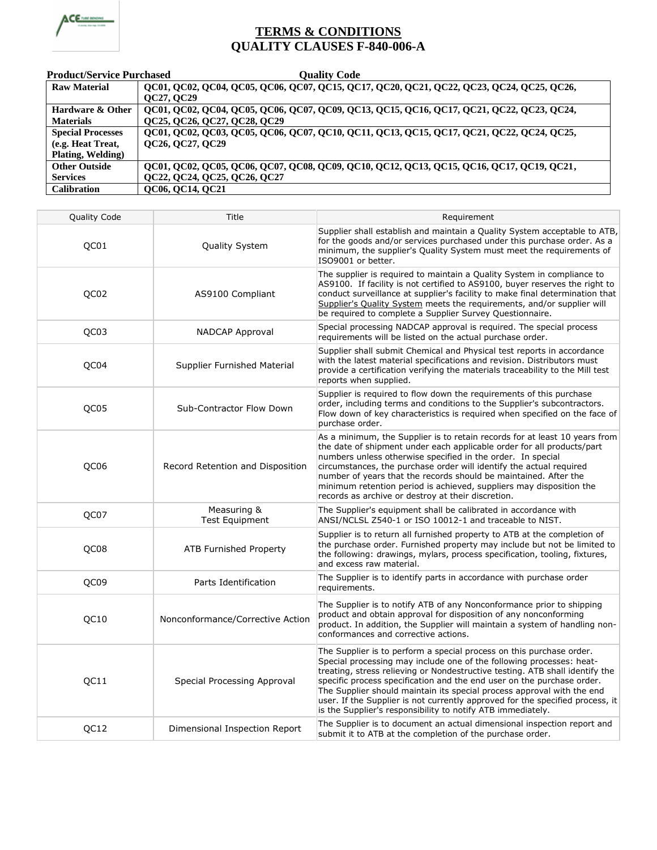

## **TERMS & CONDITIONS QUALITY CLAUSES F-840-006-A**

| <b>Product/Service Purchased</b> | <b>Quality Code</b>                                                                       |  |
|----------------------------------|-------------------------------------------------------------------------------------------|--|
| <b>Raw Material</b>              | QC01, QC02, QC04, QC05, QC06, QC07, QC15, QC17, QC20, QC21, QC22, QC23, QC24, QC25, QC26, |  |
|                                  | QC27, QC29                                                                                |  |
| <b>Hardware &amp; Other</b>      | QC01, QC02, QC04, QC05, QC06, QC07, QC09, QC13, QC15, QC16, QC17, QC21, QC22, QC23, QC24, |  |
| <b>Materials</b>                 | QC25, QC26, QC27, QC28, QC29                                                              |  |
| <b>Special Processes</b>         | QC01, QC02, QC03, QC05, QC06, QC07, QC10, QC11, QC13, QC15, QC17, QC21, QC22, QC24, QC25, |  |
| (e.g. Heat Treat,                | QC26, QC27, QC29                                                                          |  |
| <b>Plating, Welding)</b>         |                                                                                           |  |
| <b>Other Outside</b>             | QC01, QC02, QC05, QC06, QC07, QC08, QC09, QC10, QC12, QC13, QC15, QC16, QC17, QC19, QC21, |  |
| <b>Services</b>                  | QC22, QC24, QC25, QC26, QC27                                                              |  |
| <b>Calibration</b>               | QC06, QC14, QC21                                                                          |  |

| Quality Code | Title                                | Requirement                                                                                                                                                                                                                                                                                                                                                                                                                                                                                                                      |
|--------------|--------------------------------------|----------------------------------------------------------------------------------------------------------------------------------------------------------------------------------------------------------------------------------------------------------------------------------------------------------------------------------------------------------------------------------------------------------------------------------------------------------------------------------------------------------------------------------|
| QC01         | Quality System                       | Supplier shall establish and maintain a Quality System acceptable to ATB,<br>for the goods and/or services purchased under this purchase order. As a<br>minimum, the supplier's Quality System must meet the requirements of<br>ISO9001 or better.                                                                                                                                                                                                                                                                               |
| QC02         | AS9100 Compliant                     | The supplier is required to maintain a Quality System in compliance to<br>AS9100. If facility is not certified to AS9100, buyer reserves the right to<br>conduct surveillance at supplier's facility to make final determination that<br>Supplier's Quality System meets the requirements, and/or supplier will<br>be required to complete a Supplier Survey Questionnaire.                                                                                                                                                      |
| QC03         | NADCAP Approval                      | Special processing NADCAP approval is required. The special process<br>requirements will be listed on the actual purchase order.                                                                                                                                                                                                                                                                                                                                                                                                 |
| QC04         | Supplier Furnished Material          | Supplier shall submit Chemical and Physical test reports in accordance<br>with the latest material specifications and revision. Distributors must<br>provide a certification verifying the materials traceability to the Mill test<br>reports when supplied.                                                                                                                                                                                                                                                                     |
| QC05         | Sub-Contractor Flow Down             | Supplier is required to flow down the requirements of this purchase<br>order, including terms and conditions to the Supplier's subcontractors.<br>Flow down of key characteristics is required when specified on the face of<br>purchase order.                                                                                                                                                                                                                                                                                  |
| QC06         | Record Retention and Disposition     | As a minimum, the Supplier is to retain records for at least 10 years from<br>the date of shipment under each applicable order for all products/part<br>numbers unless otherwise specified in the order. In special<br>circumstances, the purchase order will identify the actual required<br>number of years that the records should be maintained. After the<br>minimum retention period is achieved, suppliers may disposition the<br>records as archive or destroy at their discretion.                                      |
| QC07         | Measuring &<br><b>Test Equipment</b> | The Supplier's equipment shall be calibrated in accordance with<br>ANSI/NCLSL Z540-1 or ISO 10012-1 and traceable to NIST.                                                                                                                                                                                                                                                                                                                                                                                                       |
| QC08         | <b>ATB Furnished Property</b>        | Supplier is to return all furnished property to ATB at the completion of<br>the purchase order. Furnished property may include but not be limited to<br>the following: drawings, mylars, process specification, tooling, fixtures,<br>and excess raw material.                                                                                                                                                                                                                                                                   |
| QC09         | Parts Identification                 | The Supplier is to identify parts in accordance with purchase order<br>requirements.                                                                                                                                                                                                                                                                                                                                                                                                                                             |
| QC10         | Nonconformance/Corrective Action     | The Supplier is to notify ATB of any Nonconformance prior to shipping<br>product and obtain approval for disposition of any nonconforming<br>product. In addition, the Supplier will maintain a system of handling non-<br>conformances and corrective actions.                                                                                                                                                                                                                                                                  |
| QC11         | Special Processing Approval          | The Supplier is to perform a special process on this purchase order.<br>Special processing may include one of the following processes: heat-<br>treating, stress relieving or Nondestructive testing. ATB shall identify the<br>specific process specification and the end user on the purchase order.<br>The Supplier should maintain its special process approval with the end<br>user. If the Supplier is not currently approved for the specified process, it<br>is the Supplier's responsibility to notify ATB immediately. |
| QC12         | Dimensional Inspection Report        | The Supplier is to document an actual dimensional inspection report and<br>submit it to ATB at the completion of the purchase order.                                                                                                                                                                                                                                                                                                                                                                                             |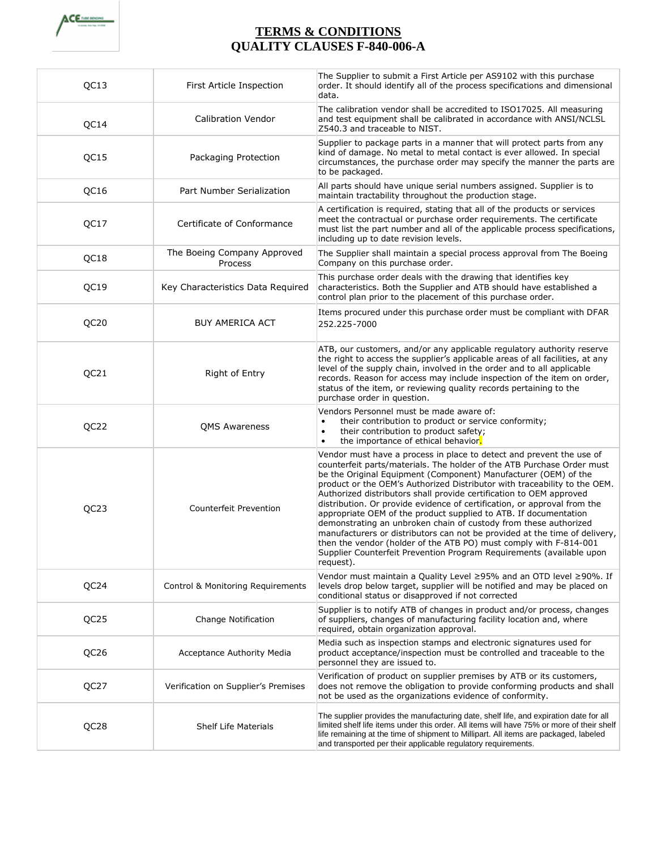

## **TERMS & CONDITIONS QUALITY CLAUSES F-840-006-A**

| QC13             | First Article Inspection               | The Supplier to submit a First Article per AS9102 with this purchase<br>order. It should identify all of the process specifications and dimensional<br>data.                                                                                                                                                                                                                                                                                                                                                                                                                                                                                                                                                                                                                                                                      |
|------------------|----------------------------------------|-----------------------------------------------------------------------------------------------------------------------------------------------------------------------------------------------------------------------------------------------------------------------------------------------------------------------------------------------------------------------------------------------------------------------------------------------------------------------------------------------------------------------------------------------------------------------------------------------------------------------------------------------------------------------------------------------------------------------------------------------------------------------------------------------------------------------------------|
| QC14             | <b>Calibration Vendor</b>              | The calibration vendor shall be accredited to ISO17025. All measuring<br>and test equipment shall be calibrated in accordance with ANSI/NCLSL<br>Z540.3 and traceable to NIST.                                                                                                                                                                                                                                                                                                                                                                                                                                                                                                                                                                                                                                                    |
| QC15             | Packaging Protection                   | Supplier to package parts in a manner that will protect parts from any<br>kind of damage. No metal to metal contact is ever allowed. In special<br>circumstances, the purchase order may specify the manner the parts are<br>to be packaged.                                                                                                                                                                                                                                                                                                                                                                                                                                                                                                                                                                                      |
| QC16             | Part Number Serialization              | All parts should have unique serial numbers assigned. Supplier is to<br>maintain tractability throughout the production stage.                                                                                                                                                                                                                                                                                                                                                                                                                                                                                                                                                                                                                                                                                                    |
| QC17             | Certificate of Conformance             | A certification is required, stating that all of the products or services<br>meet the contractual or purchase order requirements. The certificate<br>must list the part number and all of the applicable process specifications,<br>including up to date revision levels.                                                                                                                                                                                                                                                                                                                                                                                                                                                                                                                                                         |
| QC18             | The Boeing Company Approved<br>Process | The Supplier shall maintain a special process approval from The Boeing<br>Company on this purchase order.                                                                                                                                                                                                                                                                                                                                                                                                                                                                                                                                                                                                                                                                                                                         |
| QC19             | Key Characteristics Data Required      | This purchase order deals with the drawing that identifies key<br>characteristics. Both the Supplier and ATB should have established a<br>control plan prior to the placement of this purchase order.                                                                                                                                                                                                                                                                                                                                                                                                                                                                                                                                                                                                                             |
| QC20             | <b>BUY AMERICA ACT</b>                 | Items procured under this purchase order must be compliant with DFAR<br>252.225-7000                                                                                                                                                                                                                                                                                                                                                                                                                                                                                                                                                                                                                                                                                                                                              |
| QC21             | Right of Entry                         | ATB, our customers, and/or any applicable regulatory authority reserve<br>the right to access the supplier's applicable areas of all facilities, at any<br>level of the supply chain, involved in the order and to all applicable<br>records. Reason for access may include inspection of the item on order,<br>status of the item, or reviewing quality records pertaining to the<br>purchase order in question.                                                                                                                                                                                                                                                                                                                                                                                                                 |
| QC22             | <b>QMS Awareness</b>                   | Vendors Personnel must be made aware of:<br>their contribution to product or service conformity;<br>$\bullet$<br>their contribution to product safety;<br>$\bullet$<br>the importance of ethical behavior.<br>$\bullet$                                                                                                                                                                                                                                                                                                                                                                                                                                                                                                                                                                                                           |
| QC23             | <b>Counterfeit Prevention</b>          | Vendor must have a process in place to detect and prevent the use of<br>counterfeit parts/materials. The holder of the ATB Purchase Order must<br>be the Original Equipment (Component) Manufacturer (OEM) of the<br>product or the OEM's Authorized Distributor with traceability to the OEM.<br>Authorized distributors shall provide certification to OEM approved<br>distribution. Or provide evidence of certification, or approval from the<br>appropriate OEM of the product supplied to ATB. If documentation<br>demonstrating an unbroken chain of custody from these authorized<br>manufacturers or distributors can not be provided at the time of delivery,<br>then the vendor (holder of the ATB PO) must comply with F-814-001<br>Supplier Counterfeit Prevention Program Requirements (available upon<br>request). |
| QC24             | Control & Monitoring Requirements      | Vendor must maintain a Quality Level ≥95% and an OTD level ≥90%. If<br>levels drop below target, supplier will be notified and may be placed on<br>conditional status or disapproved if not corrected                                                                                                                                                                                                                                                                                                                                                                                                                                                                                                                                                                                                                             |
| QC <sub>25</sub> | Change Notification                    | Supplier is to notify ATB of changes in product and/or process, changes<br>of suppliers, changes of manufacturing facility location and, where<br>required, obtain organization approval.                                                                                                                                                                                                                                                                                                                                                                                                                                                                                                                                                                                                                                         |
| QC <sub>26</sub> | Acceptance Authority Media             | Media such as inspection stamps and electronic signatures used for<br>product acceptance/inspection must be controlled and traceable to the<br>personnel they are issued to.                                                                                                                                                                                                                                                                                                                                                                                                                                                                                                                                                                                                                                                      |
| QC27             | Verification on Supplier's Premises    | Verification of product on supplier premises by ATB or its customers,<br>does not remove the obligation to provide conforming products and shall<br>not be used as the organizations evidence of conformity.                                                                                                                                                                                                                                                                                                                                                                                                                                                                                                                                                                                                                      |
| QC28             | <b>Shelf Life Materials</b>            | The supplier provides the manufacturing date, shelf life, and expiration date for all<br>limited shelf life items under this order. All items will have 75% or more of their shelf<br>life remaining at the time of shipment to Millipart. All items are packaged, labeled<br>and transported per their applicable regulatory requirements.                                                                                                                                                                                                                                                                                                                                                                                                                                                                                       |